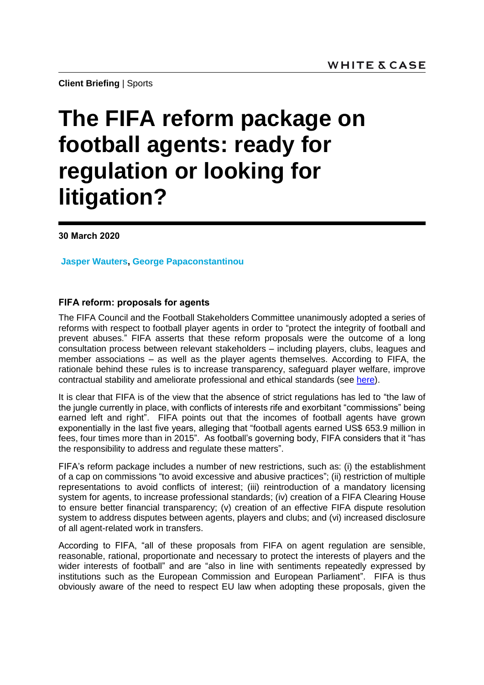**Client Briefing** | Sports

# **The FIFA reform package on football agents: ready for regulation or looking for litigation?**

**30 March 2020**

**Jasper Wauters, George Papaconstantinou**

## **FIFA reform: proposals for agents**

The FIFA Council and the Football Stakeholders Committee unanimously adopted a series of reforms with respect to football player agents in order to "protect the integrity of football and prevent abuses." FIFA asserts that these reform proposals were the outcome of a long consultation process between relevant stakeholders – including players, clubs, leagues and member associations – as well as the player agents themselves. According to FIFA, the rationale behind these rules is to increase transparency, safeguard player welfare, improve contractual stability and ameliorate professional and ethical standards (see [here\)](https://www.fifa.com/who-we-are/news/reform-proposals-concerning-football-agents-regulations).

It is clear that FIFA is of the view that the absence of strict regulations has led to "the law of the jungle currently in place, with conflicts of interests rife and exorbitant "commissions" being earned left and right". FIFA points out that the incomes of football agents have grown exponentially in the last five years, alleging that "football agents earned US\$ 653.9 million in fees, four times more than in 2015". As football's governing body, FIFA considers that it "has the responsibility to address and regulate these matters".

FIFA's reform package includes a number of new restrictions, such as: (i) the establishment of a cap on commissions "to avoid excessive and abusive practices"; (ii) restriction of multiple representations to avoid conflicts of interest; (iii) reintroduction of a mandatory licensing system for agents, to increase professional standards; (iv) creation of a FIFA Clearing House to ensure better financial transparency; (v) creation of an effective FIFA dispute resolution system to address disputes between agents, players and clubs; and (vi) increased disclosure of all agent-related work in transfers.

According to FIFA, "all of these proposals from FIFA on agent regulation are sensible, reasonable, rational, proportionate and necessary to protect the interests of players and the wider interests of football" and are "also in line with sentiments repeatedly expressed by institutions such as the European Commission and European Parliament". FIFA is thus obviously aware of the need to respect EU law when adopting these proposals, given the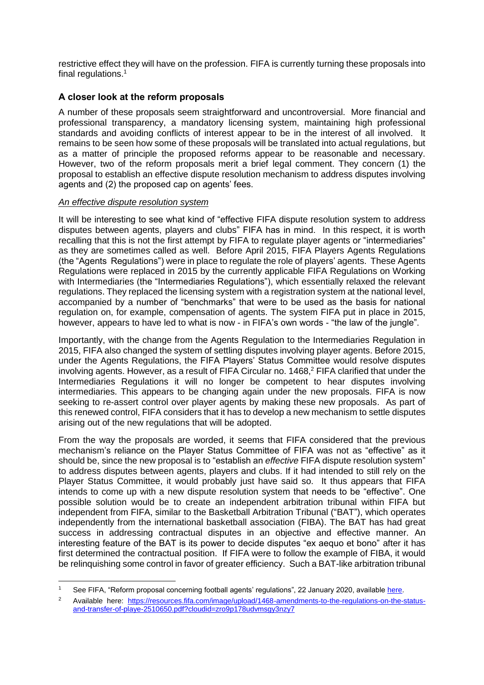restrictive effect they will have on the profession. FIFA is currently turning these proposals into final regulations.<sup>1</sup>

# **A closer look at the reform proposals**

A number of these proposals seem straightforward and uncontroversial. More financial and professional transparency, a mandatory licensing system, maintaining high professional standards and avoiding conflicts of interest appear to be in the interest of all involved. It remains to be seen how some of these proposals will be translated into actual regulations, but as a matter of principle the proposed reforms appear to be reasonable and necessary. However, two of the reform proposals merit a brief legal comment. They concern (1) the proposal to establish an effective dispute resolution mechanism to address disputes involving agents and (2) the proposed cap on agents' fees.

## *An effective dispute resolution system*

It will be interesting to see what kind of "effective FIFA dispute resolution system to address disputes between agents, players and clubs" FIFA has in mind. In this respect, it is worth recalling that this is not the first attempt by FIFA to regulate player agents or "intermediaries" as they are sometimes called as well. Before April 2015, FIFA Players Agents Regulations (the "Agents Regulations") were in place to regulate the role of players' agents. These Agents Regulations were replaced in 2015 by the currently applicable FIFA Regulations on Working with Intermediaries (the "Intermediaries Regulations"), which essentially relaxed the relevant regulations. They replaced the licensing system with a registration system at the national level, accompanied by a number of "benchmarks" that were to be used as the basis for national regulation on, for example, compensation of agents. The system FIFA put in place in 2015, however, appears to have led to what is now - in FIFA's own words - "the law of the jungle".

Importantly, with the change from the Agents Regulation to the Intermediaries Regulation in 2015, FIFA also changed the system of settling disputes involving player agents. Before 2015, under the Agents Regulations, the FIFA Players' Status Committee would resolve disputes involving agents. However, as a result of FIFA Circular no. 1468, <sup>2</sup> FIFA clarified that under the Intermediaries Regulations it will no longer be competent to hear disputes involving intermediaries. This appears to be changing again under the new proposals. FIFA is now seeking to re-assert control over player agents by making these new proposals. As part of this renewed control, FIFA considers that it has to develop a new mechanism to settle disputes arising out of the new regulations that will be adopted.

From the way the proposals are worded, it seems that FIFA considered that the previous mechanism's reliance on the Player Status Committee of FIFA was not as "effective" as it should be, since the new proposal is to "establish an *effective* FIFA dispute resolution system" to address disputes between agents, players and clubs. If it had intended to still rely on the Player Status Committee, it would probably just have said so. It thus appears that FIFA intends to come up with a new dispute resolution system that needs to be "effective". One possible solution would be to create an independent arbitration tribunal within FIFA but independent from FIFA, similar to the Basketball Arbitration Tribunal ("BAT"), which operates independently from the international basketball association (FIBA). The BAT has had great success in addressing contractual disputes in an objective and effective manner. An interesting feature of the BAT is its power to decide disputes "ex aequo et bono" after it has first determined the contractual position. If FIFA were to follow the example of FIBA, it would be relinquishing some control in favor of greater efficiency. Such a BAT-like arbitration tribunal

<sup>1</sup> <sup>1</sup> See FIFA, "Reform proposal concerning football agents' regulations", 22 January 2020, availabl[e here.](https://www.fifa.com/who-we-are/news/reform-proposals-concerning-football-agents-regulations)

<sup>&</sup>lt;sup>2</sup> Available here: [https://resources.fifa.com/image/upload/1468-amendments-to-the-regulations-on-the-status](https://resources.fifa.com/image/upload/1468-amendments-to-the-regulations-on-the-status-and-transfer-of-playe-2510650.pdf?cloudid=zro9p178udvmsgy3nzy7)[and-transfer-of-playe-2510650.pdf?cloudid=zro9p178udvmsgy3nzy7](https://resources.fifa.com/image/upload/1468-amendments-to-the-regulations-on-the-status-and-transfer-of-playe-2510650.pdf?cloudid=zro9p178udvmsgy3nzy7)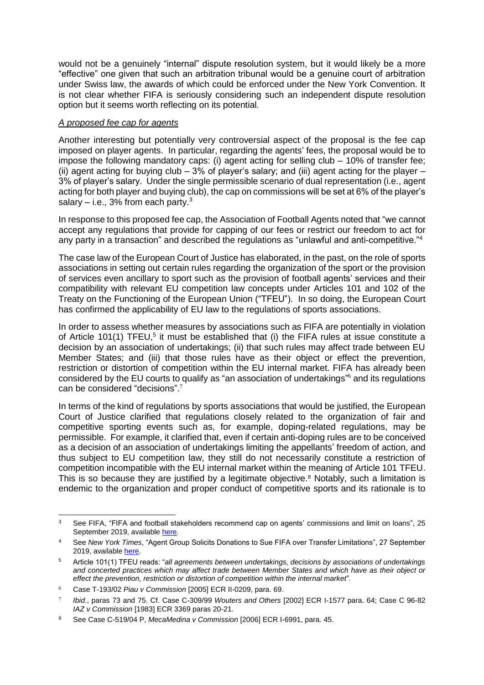would not be a genuinely "internal" dispute resolution system, but it would likely be a more "effective" one given that such an arbitration tribunal would be a genuine court of arbitration under Swiss law, the awards of which could be enforced under the New York Convention. It is not clear whether FIFA is seriously considering such an independent dispute resolution option but it seems worth reflecting on its potential.

#### *A proposed fee cap for agents*

Another interesting but potentially very controversial aspect of the proposal is the fee cap imposed on player agents. In particular, regarding the agents' fees, the proposal would be to impose the following mandatory caps: (i) agent acting for selling club – 10% of transfer fee; (ii) agent acting for buying club  $-3\%$  of player's salary; and (iii) agent acting for the player  $-$ 3% of player's salary. Under the single permissible scenario of dual representation (i.e., agent acting for both player and buying club), the cap on commissions will be set at 6% of the player's salary – i.e.,  $3\%$  from each party.<sup>3</sup>

In response to this proposed fee cap, the Association of Football Agents noted that "we cannot accept any regulations that provide for capping of our fees or restrict our freedom to act for any party in a transaction" and described the regulations as "unlawful and anti-competitive."<sup>4</sup>

The case law of the European Court of Justice has elaborated, in the past, on the role of sports associations in setting out certain rules regarding the organization of the sport or the provision of services even ancillary to sport such as the provision of football agents' services and their compatibility with relevant EU competition law concepts under Articles 101 and 102 of the Treaty on the Functioning of the European Union ("TFEU"). In so doing, the European Court has confirmed the applicability of EU law to the regulations of sports associations.

In order to assess whether measures by associations such as FIFA are potentially in violation of Article 101(1) TFEU,<sup>5</sup> it must be established that (i) the FIFA rules at issue constitute a decision by an association of undertakings; (ii) that such rules may affect trade between EU Member States; and (iii) that those rules have as their object or effect the prevention, restriction or distortion of competition within the EU internal market. FIFA has already been considered by the EU courts to qualify as "an association of undertakings" <sup>6</sup> and its regulations can be considered "decisions". 7

In terms of the kind of regulations by sports associations that would be justified, the European Court of Justice clarified that regulations closely related to the organization of fair and competitive sporting events such as, for example, doping-related regulations, may be permissible. For example, it clarified that, even if certain anti-doping rules are to be conceived as a decision of an association of undertakings limiting the appellants' freedom of action, and thus subject to EU competition law, they still do not necessarily constitute a restriction of competition incompatible with the EU internal market within the meaning of Article 101 TFEU. This is so because they are justified by a legitimate objective.<sup>8</sup> Notably, such a limitation is endemic to the organization and proper conduct of competitive sports and its rationale is to

 $\overline{3}$ See FIFA, "FIFA and football stakeholders recommend cap on agents' commissions and limit on loans", 25 September 2019, available [here.](https://www.fifa.com/who-we-are/news/fifa-and-football-stakeholders-recommend-cap-on-agents-commissions-and-limit-on-)

<sup>4</sup> See *New York Times*, "Agent Group Solicits Donations to Sue FIFA over Transfer Limitations", 27 September 2019, available [here.](https://www.nytimes.com/2019/09/27/sports/fifa-agents-transfer-window.html)

<sup>5</sup> Article 101(1) TFEU reads: "*all agreements between undertakings, decisions by associations of undertakings and concerted practices which may affect trade between Member States and which have as their object or effect the prevention, restriction or distortion of competition within the internal market*".

<sup>6</sup> Case T-193/02 *Piau v Commission* [2005] ECR II-0209, para. 69.

<sup>7</sup> *Ibid*., paras 73 and 75. Cf. Case C-309/99 *Wouters and Others* [2002] ECR I-1577 para. 64; Case C 96-82 *IAZ v Commission* [1983] ECR 3369 paras 20-21.

<sup>8</sup> See Case C-519/04 P, *MecaMedina v Commission* [2006] ECR I-6991, para. 45.